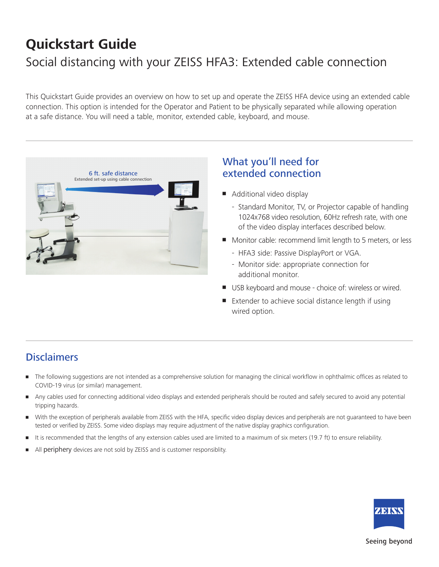# **Quickstart Guide**  Social distancing with your ZEISS HFA3: Extended cable connection

This Quickstart Guide provides an overview on how to set up and operate the ZEISS HFA device using an extended cable connection. This option is intended for the Operator and Patient to be physically separated while allowing operation at a safe distance. You will need a table, monitor, extended cable, keyboard, and mouse.



### What you'll need for extended connection

- Additional video display
	- Standard Monitor, TV, or Projector capable of handling 1024x768 video resolution, 60Hz refresh rate, with one of the video display interfaces described below.
- Monitor cable: recommend limit length to 5 meters, or less
	- HFA3 side: Passive DisplayPort or VGA.
	- Monitor side: appropriate connection for additional monitor.
- **USB keyboard and mouse choice of: wireless or wired.**
- Extender to achieve social distance length if using wired option.

### **Disclaimers**

- The following suggestions are not intended as a comprehensive solution for managing the clinical workflow in ophthalmic offices as related to COVID-19 virus (or similar) management.
- Any cables used for connecting additional video displays and extended peripherals should be routed and safely secured to avoid any potential tripping hazards.
- With the exception of peripherals available from ZEISS with the HFA, specific video display devices and peripherals are not guaranteed to have been tested or verified by ZEISS. Some video displays may require adjustment of the native display graphics configuration.
- It is recommended that the lengths of any extension cables used are limited to a maximum of six meters (19.7 ft) to ensure reliability.
- All periphery devices are not sold by ZEISS and is customer responsiblity.



#### Seeing beyond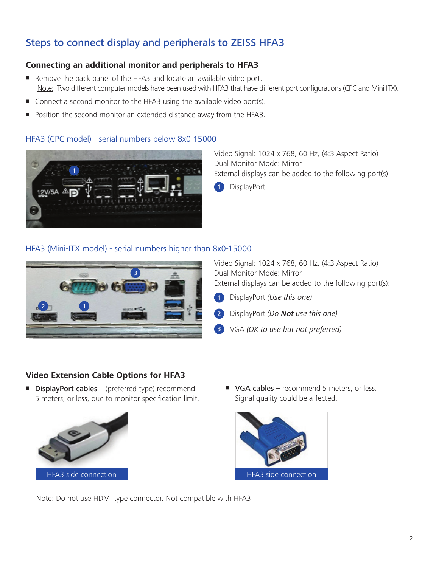## Steps to connect display and peripherals to ZEISS HFA3

#### **Connecting an additional monitor and peripherals to HFA3**

- **Remove the back panel of the HFA3 and locate an available video port.** Note: Two different computer models have been used with HFA3 that have different port configurations (CPC and Mini ITX).
- Connect a second monitor to the HFA3 using the available video port(s).
- Position the second monitor an extended distance away from the HFA3.

#### HFA3 (CPC model) - serial numbers below 8x0-15000



Video Signal: 1024 x 768, 60 Hz, (4:3 Aspect Ratio) Dual Monitor Mode: Mirror External displays can be added to the following port(s):

**DisplayPort** 

#### HFA3 (Mini-ITX model) - serial numbers higher than 8x0-15000



Video Signal: 1024 x 768, 60 Hz, (4:3 Aspect Ratio) Dual Monitor Mode: Mirror External displays can be added to the following port(s):

DisplayPort *(Use this one)* 1



VGA *(OK to use but not preferred)* 3

#### **Video Extension Cable Options for HFA3**

**DisplayPort cables** – (preferred type) recommend 5 meters, or less, due to monitor specification limit.



■ VGA cables – recommend 5 meters, or less. Signal quality could be affected.



Note: Do not use HDMI type connector. Not compatible with HFA3.